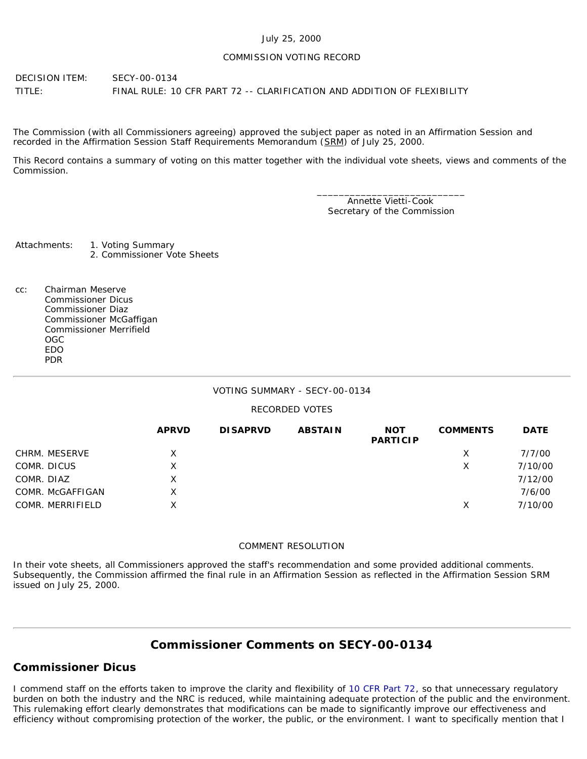### July 25, 2000

### COMMISSION VOTING RECORD

DECISION ITEM: SECY-00-0134 TITLE: FINAL RULE: 10 CFR PART 72 -- CLARIFICATION AND ADDITION OF FLEXIBILITY

The Commission (with all Commissioners agreeing) approved the subject paper as noted in an Affirmation Session and recorded in the Affirmation Session Staff Requirements Memorandum (SRM) of July 25, 2000.

This Record contains a summary of voting on this matter together with the individual vote sheets, views and comments of the Commission.

> \_\_\_\_\_\_\_\_\_\_\_\_\_\_\_\_\_\_\_\_\_\_\_\_\_\_\_ Annette Vietti-Cook Secretary of the Commission

Attachments: 1. Voting Summary 2. Commissioner Vote Sheets

cc: Chairman Meserve Commissioner Dicus Commissioner Diaz Commissioner McGaffigan Commissioner Merrifield OGC EDO PDR

# VOTING SUMMARY - SECY-00-0134

# RECORDED VOTES

|                  | <b>APRVD</b> | <b>DISAPRVD</b> | <b>ABSTAIN</b> | <b>NOT</b><br><b>PARTICIP</b> | <b>COMMENTS</b> | <b>DATE</b> |
|------------------|--------------|-----------------|----------------|-------------------------------|-----------------|-------------|
| CHRM. MESERVE    | X.           |                 |                |                               | X               | 7/7/00      |
| COMR. DICUS      | Χ            |                 |                |                               | Х               | 7/10/00     |
| COMR. DIAZ       | X            |                 |                |                               |                 | 7/12/00     |
| COMR. McGAFFIGAN | X.           |                 |                |                               |                 | 7/6/00      |
| COMR. MERRIFIELD | x            |                 |                |                               | х               | 7/10/00     |

### COMMENT RESOLUTION

In their vote sheets, all Commissioners approved the staff's recommendation and some provided additional comments. Subsequently, the Commission affirmed the final rule in an Affirmation Session as reflected in the Affirmation Session SRM issued on July 25, 2000.

# **Commissioner Comments on [SECY-00-0134](http://www.nrc.gov/reading-rm/doc-collections/commission/secys/2000/secy2000-0134/2000-0134scy.html)**

# **Commissioner Dicus**

I commend staff on the efforts taken to improve the clarity and flexibility of [10 CFR Part 72,](http://www.nrc.gov/reading-rm/doc-collections/cfr/part072/index.html) so that unnecessary regulatory burden on both the industry and the NRC is reduced, while maintaining adequate protection of the public and the environment. This rulemaking effort clearly demonstrates that modifications can be made to significantly improve our effectiveness and efficiency without compromising protection of the worker, the public, or the environment. I want to specifically mention that I